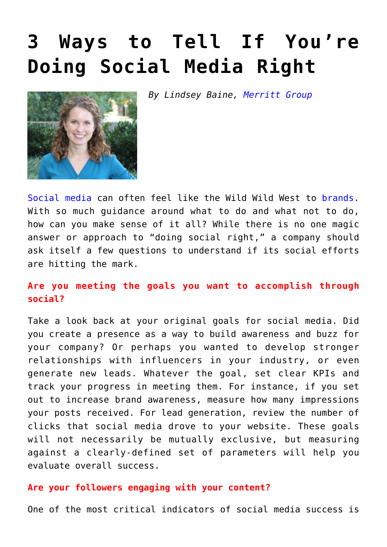## **[3 Ways to Tell If You're](https://www.commpro.biz/3-ways-to-tell-if-youre-doing-social-media-right/) [Doing Social Media Right](https://www.commpro.biz/3-ways-to-tell-if-youre-doing-social-media-right/)**

*By Lindsey Baine, [Merritt Group](https://www.merrittgrp.com/)*



[Social media](https://www.commpro.biz/social-media-section/) can often feel like the Wild Wild West to [brands.](https://www.commpro.biz/?s=brands) With so much guidance around what to do and what not to do, how can you make sense of it all? While there is no one magic answer or approach to "doing social right," a company should ask itself a few questions to understand if its social efforts are hitting the mark.

## **Are you meeting the goals you want to accomplish through social?**

Take a look back at your original goals for social media. Did you create a presence as a way to build awareness and buzz for your company? Or perhaps you wanted to develop stronger relationships with influencers in your industry, or even generate new leads. Whatever the goal, set clear KPIs and track your progress in meeting them. For instance, if you set out to increase brand awareness, measure how many impressions your posts received. For lead generation, review the number of clicks that social media drove to your website. These goals will not necessarily be mutually exclusive, but measuring against a clearly-defined set of parameters will help you evaluate overall success.

## **Are your followers engaging with your content?**

One of the most critical indicators of social media success is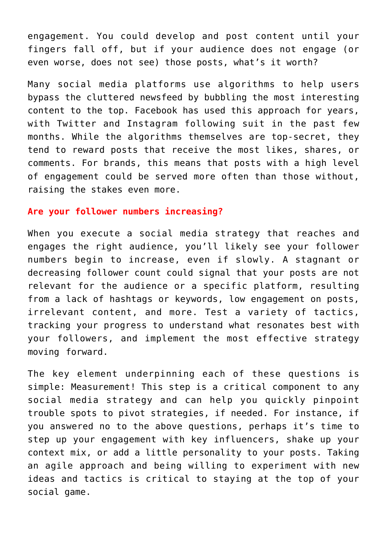engagement. You could develop and post content until your fingers fall off, but if your audience does not engage (or even worse, does not see) those posts, what's it worth?

Many social media platforms [use algorithms](https://www.socialmediatoday.com/social-networks/truth-about-algorithms-and-why-you-should-expect-see-more-them) to help users bypass the cluttered newsfeed by bubbling the most interesting content to the top. Facebook has used this approach for years, with Twitter and Instagram following suit in the past few months. While the algorithms themselves are top-secret, they tend to reward posts that receive the most likes, shares, or comments. For brands, this means that posts with a high level of engagement could be served more often than those without, raising the stakes even more.

## **Are your follower numbers increasing?**

When you execute a social media strategy that reaches and engages the right audience, you'll likely see your follower numbers begin to increase, even if slowly. A stagnant or decreasing follower count could signal that your posts are not relevant for the audience or a specific platform, resulting from a lack of hashtags or keywords, low engagement on posts, irrelevant content, and more. Test a variety of tactics, tracking your progress to understand what resonates best with your followers, and implement the most effective strategy moving forward.

The key element underpinning each of these questions is simple: Measurement! This step is a critical component to any social media strategy and can help you quickly pinpoint trouble spots to pivot strategies, if needed. For instance, if you answered no to the above questions, perhaps it's time to step up your engagement with key influencers, shake up your context mix, or add a little personality to your posts. Taking an agile approach and being willing to experiment with new ideas and tactics is critical to staying at the top of your social game.